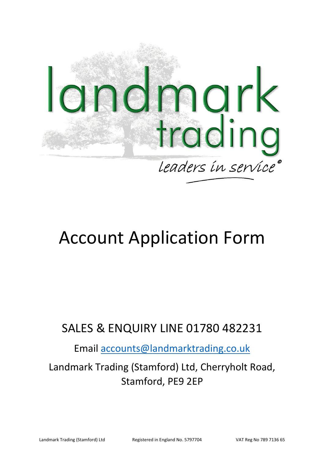

# Account Application Form

# SALES & ENQUIRY LINE 01780 482231

Email accounts@landmarktrading.co.uk

Landmark Trading (Stamford) Ltd, Cherryholt Road, Stamford, PE9 2EP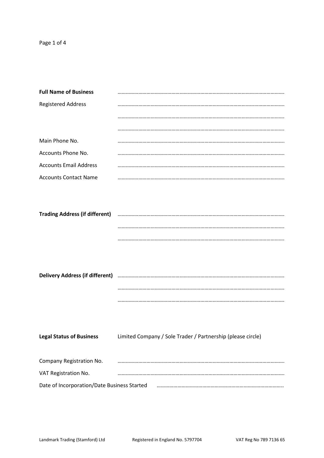| <b>Full Name of Business</b>                |                                                                                                                |
|---------------------------------------------|----------------------------------------------------------------------------------------------------------------|
| <b>Registered Address</b>                   |                                                                                                                |
|                                             |                                                                                                                |
|                                             |                                                                                                                |
| Main Phone No.                              |                                                                                                                |
| Accounts Phone No.                          |                                                                                                                |
| <b>Accounts Email Address</b>               |                                                                                                                |
| <b>Accounts Contact Name</b>                |                                                                                                                |
|                                             |                                                                                                                |
|                                             |                                                                                                                |
| <b>Trading Address (if different)</b>       |                                                                                                                |
|                                             |                                                                                                                |
|                                             |                                                                                                                |
|                                             |                                                                                                                |
|                                             |                                                                                                                |
|                                             | Delivery Address (if different) manufacture and the control of the control of the control of the control of th |
|                                             |                                                                                                                |
|                                             |                                                                                                                |
|                                             |                                                                                                                |
|                                             |                                                                                                                |
| <b>Legal Status of Business</b>             | Limited Company / Sole Trader / Partnership (please circle)                                                    |
|                                             |                                                                                                                |
| Company Registration No.                    |                                                                                                                |
| VAT Registration No.                        |                                                                                                                |
| Date of Incorporation/Date Business Started |                                                                                                                |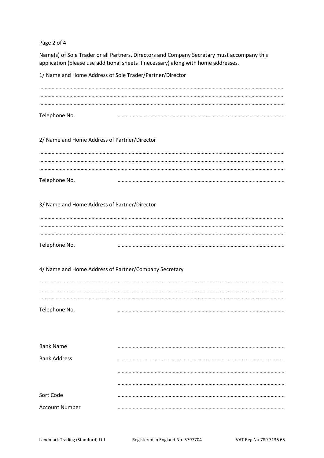Page 2 of 4

Name(s) of Sole Trader or all Partners, Directors and Company Secretary must accompany this application (please use additional sheets if necessary) along with home addresses.

1/ Name and Home Address of Sole Trader/Partner/Director

| Telephone No. |  |
|---------------|--|
|               |  |

2/ Name and Home Address of Partner/Director

| Telephone No. |  |
|---------------|--|

3/ Name and Home Address of Partner/Director

| Telephone No. |  |
|---------------|--|

# 4/ Name and Home Address of Partner/Company Secretary

| Telephone No. |  |
|---------------|--|

| <b>Bank Name</b>      |  |
|-----------------------|--|
| <b>Bank Address</b>   |  |
|                       |  |
|                       |  |
|                       |  |
| Sort Code             |  |
| <b>Account Number</b> |  |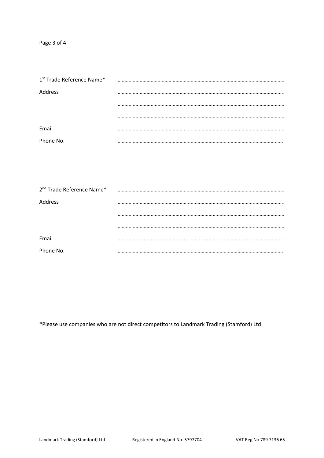Page 3 of 4

| 1st Trade Reference Name* |  |
|---------------------------|--|
| Address                   |  |
|                           |  |
|                           |  |
| Email                     |  |
| Phone No.                 |  |

| 2 <sup>nd</sup> Trade Reference Name* |  |
|---------------------------------------|--|
| Address                               |  |
|                                       |  |
|                                       |  |
| Email                                 |  |
| Phone No.                             |  |

\*Please use companies who are not direct competitors to Landmark Trading (Stamford) Ltd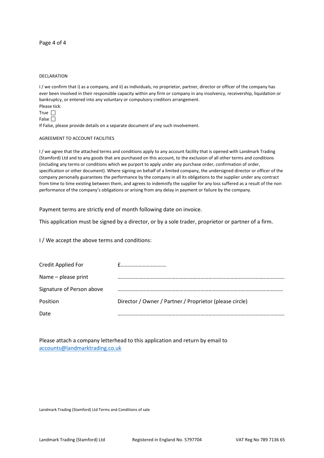## Page 4 of 4

### DECLARATION

I / we confirm that i) as a company, and ii) as individuals, no proprietor, partner, director or officer of the company has ever been involved in their responsible capacity within any firm or company in any insolvency, receivership, liquidation or bankruptcy, or entered into any voluntary or compulsory creditors arrangement. Please tick:

True  $\Box$ False  $\overline{\sqcap}$ 

If False, please provide details on a separate document of any such involvement.

#### AGREEMENT TO ACCOUNT FACILITIES

I / we agree that the attached terms and conditions apply to any account facility that is opened with Landmark Trading (Stamford) Ltd and to any goods that are purchased on this account, to the exclusion of all other terms and conditions (including any terms or conditions which we purport to apply under any purchase order, confirmation of order, specification or other document). Where signing on behalf of a limited company, the undersigned director or officer of the company personally guarantees the performance by the company in all its obligations to the supplier under any contract from time to time existing between them, and agrees to indemnify the supplier for any loss suffered as a result of the non performance of the company's obligations or arising from any delay in payment or failure by the company.

Payment terms are strictly end of month following date on invoice.

This application must be signed by a director, or by a sole trader, proprietor or partner of a firm.

I / We accept the above terms and conditions:

| Credit Applied For        |                                                         |
|---------------------------|---------------------------------------------------------|
| Name – please print       |                                                         |
| Signature of Person above |                                                         |
| Position                  | Director / Owner / Partner / Proprietor (please circle) |
| Date                      |                                                         |

Please attach a company letterhead to this application and return by email to accounts@landmarktrading.co.uk

Landmark Trading (Stamford) Ltd Terms and Conditions of sale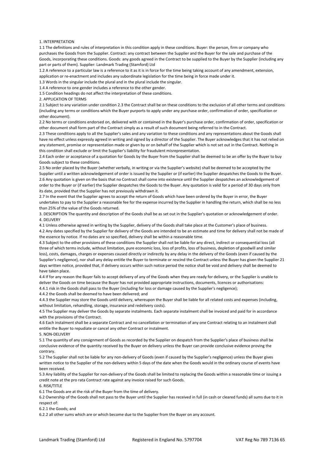#### 1. INTERPRETATION

1.1 The definitions and rules of interpretation in this condition apply in these conditions. Buyer: the person, firm or company who purchases the Goods from the Supplier. Contract: any contract between the Supplier and the Buyer for the sale and purchase of the Goods, incorporating these conditions. Goods: any goods agreed in the Contract to be supplied to the Buyer by the Supplier (including any part or parts of them). Supplier: Landmark Trading (Stamford) Ltd

1.2 A reference to a particular law is a reference to it as it is in force for the time being taking account of any amendment, extension, application or re-enactment and includes any subordinate legislation for the time being in force made under it.

1.3 Words in the singular include the plural and in the plural include the singular.

1.4 A reference to one gender includes a reference to the other gender.

1.5 Condition headings do not affect the interpretation of these conditions.

2. APPLICATION OF TERMS

2.1 Subject to any variation under condition 2.3 the Contract shall be on these conditions to the exclusion of all other terms and conditions (including any terms or conditions which the Buyer purports to apply under any purchase order, confirmation of order, specification or other document).

2.2 No terms or conditions endorsed on, delivered with or contained in the Buyer's purchase order, confirmation of order, specification or other document shall form part of the Contract simply as a result of such document being referred to in the Contract.

2.3 These conditions apply to all the Supplier's sales and any variation to these conditions and any representations about the Goods shall have no effect unless expressly agreed in writing and signed by a director of the Supplier. The Buyer acknowledges that it has not relied on any statement, promise or representation made or given by or on behalf of the Supplier which is not set out in the Contract. Nothing in this condition shall exclude or limit the Supplier's liability for fraudulent misrepresentation.

2.4 Each order or acceptance of a quotation for Goods by the Buyer from the Supplier shall be deemed to be an offer by the Buyer to buy Goods subject to these conditions.

2.5 No order placed by the Buyer (whether verbally, in writing or via the Supplier's website) shall be deemed to be accepted by the Supplier until a written acknowledgement of order is issued by the Supplier or (if earlier) the Supplier despatches the Goods to the Buyer. 2.6 Any quotation is given on the basis that no Contract shall come into existence until the Supplier despatches an acknowledgement of order to the Buyer or (if earlier) the Supplier despatches the Goods to the Buyer. Any quotation is valid for a period of 30 days only from its date, provided that the Supplier has not previously withdrawn it.

2.7 In the event that the Supplier agrees to accept the return of Goods which have been ordered by the Buyer in error, the Buyer undertakes to pay to the Supplier a reasonable fee for the expense incurred by the Supplier in handling the return, which shall be no less than 25% of the value of the Goods returned.

3. DESCRIPTION The quantity and description of the Goods shall be as set out in the Supplier's quotation or acknowledgement of order. 4. DELIVERY

4.1 Unless otherwise agreed in writing by the Supplier, delivery of the Goods shall take place at the Customer's place of business. 4.2 Any dates specified by the Supplier for delivery of the Goods are intended to be an estimate and time for delivery shall not be made of the essence by notice. If no dates are so specified, delivery shall be within a reasonable time.

4.3 Subject to the other provisions of these conditions the Supplier shall not be liable for any direct, indirect or consequential loss (all three of which terms include, without limitation, pure economic loss, loss of profits, loss of business, depletion of goodwill and similar loss), costs, damages, charges or expenses caused directly or indirectly by any delay in the delivery of the Goods (even if caused by the Supplier's negligence), nor shall any delay entitle the Buyer to terminate or rescind the Contract unless the Buyer has given the Supplier 21 days written notice, provided that, if delivery occurs within such notice period the notice shall be void and delivery shall be deemed to have taken place.

4.4 If for any reason the Buyer fails to accept delivery of any of the Goods when they are ready for delivery, or the Supplier is unable to deliver the Goods on time because the Buyer has not provided appropriate instructions, documents, licences or authorisations: 4.4.1 risk in the Goods shall pass to the Buyer (including for loss or damage caused by the Supplier's negligence);

4.4.2 the Goods shall be deemed to have been delivered; and

4.4.3 the Supplier may store the Goods until delivery, whereupon the Buyer shall be liable for all related costs and expenses (including, without limitation, rehandling, storage, insurance and redelivery costs).

4.5 The Supplier may deliver the Goods by separate instalments. Each separate instalment shall be invoiced and paid for in accordance with the provisions of the Contract.

4.6 Each instalment shall be a separate Contract and no cancellation or termination of any one Contract relating to an instalment shall entitle the Buyer to repudiate or cancel any other Contract or instalment.

5. NON-DELIVERY

5.1 The quantity of any consignment of Goods as recorded by the Supplier on despatch from the Supplier's place of business shall be conclusive evidence of the quantity received by the Buyer on delivery unless the Buyer can provide conclusive evidence proving the contrary.

5.2 The Supplier shall not be liable for any non-delivery of Goods (even if caused by the Supplier's negligence) unless the Buyer gives written notice to the Supplier of the non-delivery within 5 days of the date when the Goods would in the ordinary course of events have been received.

5.3 Any liability of the Supplier for non-delivery of the Goods shall be limited to replacing the Goods within a reasonable time or issuing a credit note at the pro rata Contract rate against any invoice raised for such Goods.

6. RISK/TITLE

6.1 The Goods are at the risk of the Buyer from the time of delivery.

6.2 Ownership of the Goods shall not pass to the Buyer until the Supplier has received in full (in cash or cleared funds) all sums due to it in respect of:

6.2.1 the Goods; and

6.2.2 all other sums which are or which become due to the Supplier from the Buyer on any account.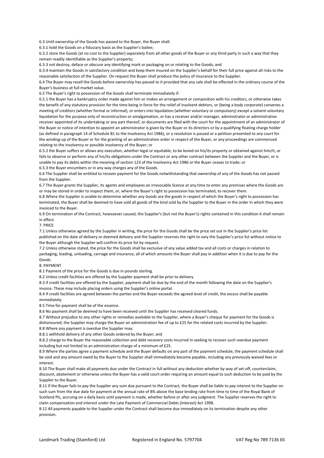6.3 Until ownership of the Goods has passed to the Buyer, the Buyer shall:

6.3.1 hold the Goods on a fiduciary basis as the Supplier's bailee;

6.3.2 store the Goods (at no cost to the Supplier) separately from all other goods of the Buyer or any third party in such a way that they remain readily identifiable as the Supplier's property;

6.3.3 not destroy, deface or obscure any identifying mark or packaging on or relating to the Goods; and

6.3.4 maintain the Goods in satisfactory condition and keep them insured on the Supplier's behalf for their full price against all risks to the reasonable satisfaction of the Supplier. On request the Buyer shall produce the policy of insurance to the Supplier.

6.4 The Buyer may resell the Goods before ownership has passed to it provided that any sale shall be effected in the ordinary course of the Buyer's business at full market value.

6.5 The Buyer's right to possession of the Goods shall terminate immediately if:

6.5.1 the Buyer has a bankruptcy order made against him or makes an arrangement or composition with his creditors, or otherwise takes the benefit of any statutory provision for the time being in force for the relief of insolvent debtors, or (being a body corporate) convenes a meeting of creditors (whether formal or informal), or enters into liquidation (whether voluntary or compulsory) except a solvent voluntary liquidation for the purpose only of reconstruction or amalgamation, or has a receiver and/or manager, administrator or administrative receiver appointed of its undertaking or any part thereof, or documents are filed with the court for the appointment of an administrator of the Buyer or notice of intention to appoint an administrator is given by the Buyer or its directors or by a qualifying floating charge holder (as defined in paragraph 14 of Schedule B1 to the Insolvency Act 1986), or a resolution is passed or a petition presented to any court for the winding-up of the Buyer or for the granting of an administration order in respect of the Buyer, or any proceedings are commenced relating to the insolvency or possible insolvency of the Buyer; or

6.5.2 the Buyer suffers or allows any execution, whether legal or equitable, to be levied on his/its property or obtained against him/it, or fails to observe or perform any of his/its obligations under the Contract or any other contract between the Supplier and the Buyer, or is unable to pay its debts within the meaning of section 123 of the Insolvency Act 1986 or the Buyer ceases to trade; or 6.5.3 the Buyer encumbers or in any way charges any of the Goods.

6.6 The Supplier shall be entitled to recover payment for the Goods notwithstanding that ownership of any of the Goods has not passed from the Supplier.

6.7 The Buyer grants the Supplier, its agents and employees an irrevocable licence at any time to enter any premises where the Goods are or may be stored in order to inspect them, or, where the Buyer's right to possession has terminated, to recover them.

6.8 Where the Supplier is unable to determine whether any Goods are the goods in respect of which the Buyer's right to possession has terminated, the Buyer shall be deemed to have sold all goods of the kind sold by the Supplier to the Buyer in the order in which they were invoiced to the Buyer.

6.9 On termination of the Contract, howsoever caused, the Supplier's (but not the Buyer's) rights contained in this condition 6 shall remain in effect.

7. PRICE

7.1 Unless otherwise agreed by the Supplier in writing, the price for the Goods shall be the price set out in the Supplier's price list published on the date of delivery or deemed delivery and the Supplier reserves the right to vary the Supplier's price list without notice to the Buyer although the Supplier will confirm its price list by request.

7.2 Unless otherwise stated, the price for the Goods shall be exclusive of any value added tax and all costs or charges in relation to packaging, loading, unloading, carriage and insurance, all of which amounts the Buyer shall pay in addition when it is due to pay for the Goods.

8. PAYMENT

8.1 Payment of the price for the Goods is due in pounds sterling.

8.2 Unless credit facilities are offered by the Supplier payment shall be prior to delivery.

8.3 If credit facilities are offered by the Supplier, payment shall be due by the end of the month following the date on the Supplier's invoice. These may include placing orders using the Supplier's online portal.

8.4 If credit facilities are agreed between the parties and the Buyer exceeds the agreed level of credit, the excess shall be payable immediately.

8.5 Time for payment shall be of the essence.

8.6 No payment shall be deemed to have been received until the Supplier has received cleared funds.

8.7 Without prejudice to any other rights or remedies available to the Supplier, where a Buyer's cheque for payment for the Goods is dishonoured, the Supplier may charge the Buyer an administration fee of up to £25 for the related costs incurred by the Supplier. 8.8 Where any payment is overdue the Supplier may:

8.8.1 withhold delivery of any other Goods ordered by the Buyer; and

8.8.2 charge to the Buyer the reasonable collection and debt recovery costs incurred in seeking to recover such overdue payment including but not limited to an administration charge of a minimum of £25.

8.9 Where the parties agree a payment schedule and the Buyer defaults on any part of the payment schedule, the payment schedule shall be void and any amount owed by the Buyer to the Supplier shall immediately become payable, including any previously waived fees or interest.

8.10 The Buyer shall make all payments due under the Contract in full without any deduction whether by way of set-off, counterclaim, discount, abatement or otherwise unless the Buyer has a valid court order requiring an amount equal to such deduction to be paid by the Supplier to the Buyer.

8.11 If the Buyer fails to pay the Supplier any sum due pursuant to the Contract, the Buyer shall be liable to pay interest to the Supplier on such sum from the due date for payment at the annual rate of 8% above the base lending rate from time to time of the Royal Bank of Scotland Plc, accruing on a daily basis until payment is made, whether before or after any judgment. The Supplier reserves the right to claim compensation and interest under the Late Payment of Commercial Debts (Interest) Act 1998.

8.12 All payments payable to the Supplier under the Contract shall become due immediately on its termination despite any other provision.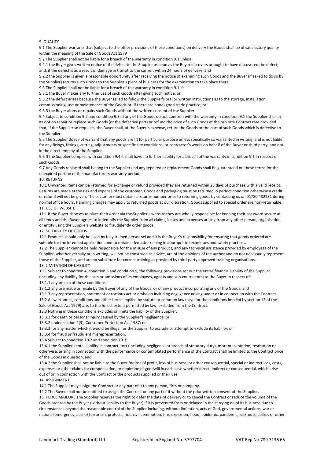#### 9. OLIALITY

9.1 The Supplier warrants that (subject to the other provisions of these conditions) on delivery the Goods shall be of satisfactory quality within the meaning of the Sale of Goods Act 1979

9.2 The Supplier shall not be liable for a breach of the warranty in condition 9.1 unless:

9.2.1 the Buyer gives written notice of the defect to the Supplier as soon as the Buyer discovers or ought to have discovered the defect. and, if the defect is as a result of damage in transit to the carrier, within 24 hours of delivery; and

9.2.2 the Supplier is given a reasonable opportunity after receiving the notice of examining such Goods and the Buyer (if asked to do so by the Supplier) returns such Goods to the Supplier's place of business for the examination to take place there.

9.3 The Supplier shall not be liable for a breach of the warranty in condition 9.1 if:

9.3.1 the Buyer makes any further use of such Goods after giving such notice; or

9.3.2 the defect arises because the Buyer failed to follow the Supplier's oral or written instructions as to the storage, installation,

commissioning, use or maintenance of the Goods or (if there are none) good trade practice; or

9.3.3 the Buyer alters or repairs such Goods without the written consent of the Supplier.

9.4 Subject to condition 9.2 and condition 9.3, if any of the Goods do not conform with the warranty in condition 9.1 the Supplier shall at its option repair or replace such Goods (or the defective part) or refund the price of such Goods at the pro rata Contract rate provided that, if the Supplier so requests, the Buyer shall, at the Buyer's expense, return the Goods or the part of such Goods which is defective to the Supplier.

9.5 The Supplier does not warrant that any goods are fit for particular purpose unless specifically so warranted in writing, and is not liable for any fixings, fittings, cutting, adjustments or specific site conditions, or contractor's works on behalf of the Buyer or third party, and not in the direct employ of the Supplier.

9.6 If the Supplier complies with condition 9.4 it shall have no further liability for a breach of the warranty in condition 9.1 in respect of such Goods.

9.7 Any Goods replaced shall belong to the Supplier and any repaired or replacement Goods shall be guaranteed on these terms for the unexpired portion of the manufacturers warranty period.

#### 10. RETURNS

10.1 Unwanted items can be returned for exchange or refund provided they are returned within 28 days of purchase with a valid receipt. Returns are made at the risk and expense of the customer. Goods and packaging must be returned in perfect condition otherwise a credit or refund will not be given. The customer must obtain a returns number prior to returning goods by contacting us on 01780 482231 during normal office hours. Handling charges may apply to returned goods at our discretion. Goods supplied to special order are non-returnable. 11. USE OF WEBSITE

11.1 If the Buyer chooses to place their order via the Supplier's website they are wholly responsible for keeping their password secure at all times and the Buyer agrees to indemnify the Supplier from all claims, losses and expenses arising from any other person, organisation or entity using the Suppliers website to fraudulently order goods.

12. SUITABILITY OF GOODS

12.1 Products should only be used by fully trained personnel and it is the Buyer's responsibility for ensuring that goods ordered are suitable for the intended application, and to obtain adequate training in appropriate techniques and safety practices.

12.2 The Supplier cannot be held responsible for the misuse of any product, and any technical assistance provided by employees of the Supplier, whether verbally or in writing, will not be construed as advice, are of the opinions of the author and do not necessarily represent those of the Supplier, and are no substitute for correct training as provided by third-party approved training organisations. 13. LIMITATION OF LIABILITY

13.1 Subject to condition 4, condition 5 and condition 9, the following provisions set out the entire financial liability of the Supplier (including any liability for the acts or omissions of its employees, agents and sub-contractors) to the Buyer in respect of:

13.1.1 any breach of these conditions;

13.1.2 any use made or resale by the Buyer of any of the Goods, or of any product incorporating any of the Goods; and

13.1.3 any representation, statement or tortious act or omission including negligence arising under or in connection with the Contract. 13.2 All warranties, conditions and other terms implied by statute or common law (save for the conditions implied by section 12 of the

Sale of Goods Act 1979) are, to the fullest extent permitted by law, excluded from the Contract.

13.3 Nothing in these conditions excludes or limits the liability of the Supplier:

13.3.1 for death or personal injury caused by the Supplier's negligence; or

13.3.2 under section 2(3), Consumer Protection Act 1987; or

13.3.3 for any matter which it would be illegal for the Supplier to exclude or attempt to exclude its liability; or

13.3.4 for fraud or fraudulent misrepresentation.

13.4 Subject to condition 10.2 and condition 10.3:

13.4.1 the Supplier's total liability in contract, tort (including negligence or breach of statutory duty), misrepresentation, restitution or otherwise, arising in connection with the performance or contemplated performance of the Contract shall be limited to the Contract price of the Goods in question; and

13.4.2 the Supplier shall not be liable to the Buyer for loss of profit, loss of business, or other consequential, special or indirect loss, costs, expenses or other claims for compensation, or depletion of goodwill in each case whether direct, indirect or consequential, which arise out of or in connection with the Contract or the products supplied or their use.

14. ASSIGNMENT

14.1 The Supplier may assign the Contract or any part of it to any person, firm or company.

14.2 The Buyer shall not be entitled to assign the Contract or any part of it without the prior written consent of the Supplier. 15. FORCE MAJEURE The Supplier reserves the right to defer the date of delivery or to cancel the Contract or reduce the volume of the

Goods ordered by the Buyer (without liability to the Buyer) if it is prevented from or delayed in the carrying on of its business due to circumstances beyond the reasonable control of the Supplier including, without limitation, acts of God, governmental actions, war or national emergency, acts of terrorism, protests, riot, civil commotion, fire, explosion, flood, epidemic, pandemic, lock-outs, strikes or other